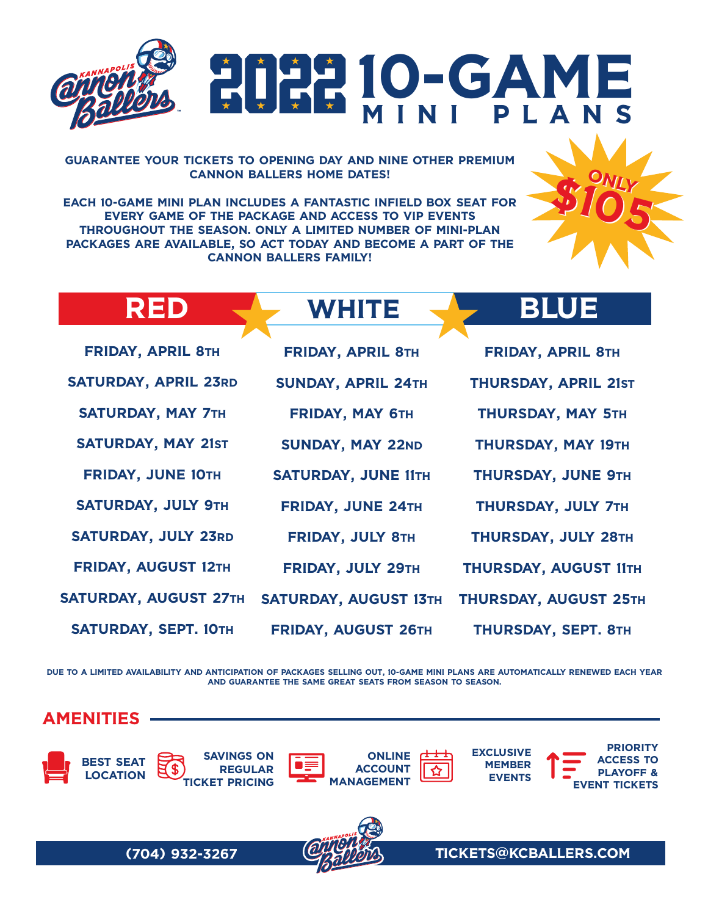

## 10-GAME MINI PLANS

GUARANTEE YOUR TICKETS TO OPENING DAY AND NINE OTHER PREMIUM CANNON BALLERS HOME DATES!

EACH 10-GAME MINI PLAN INCLUDES A FANTASTIC INFIELD BOX SEAT FOR EVERY GAME OF THE PACKAGE AND ACCESS TO VIP EVENTS THROUGHOUT THE SEASON. ONLY A LIMITED NUMBER OF MINI-PLAN PACKAGES ARE AVAILABLE, SO ACT TODAY AND BECOME A PART OF THE CANNON BALLERS FAMILY!

|  | <b>WHITE</b> | UE<br><b>1310.</b> |
|--|--------------|--------------------|
|--|--------------|--------------------|

\$105

**ONLY** 

| <b>FRIDAY, APRIL 8TH</b>     | <b>FRIDAY, APRIL 8TH</b>     | <b>FRIDAY, APRIL 8TH</b>    |
|------------------------------|------------------------------|-----------------------------|
| <b>SATURDAY, APRIL 23RD</b>  | <b>SUNDAY, APRIL 24TH</b>    | <b>THURSDAY, APRIL 21ST</b> |
| <b>SATURDAY, MAY 7TH</b>     | <b>FRIDAY, MAY 6TH</b>       | THURSDAY, MAY 5TH           |
| <b>SATURDAY, MAY 21ST</b>    | <b>SUNDAY, MAY 22ND</b>      | THURSDAY, MAY 19TH          |
| <b>FRIDAY, JUNE 10TH</b>     | <b>SATURDAY, JUNE 11TH</b>   | THURSDAY, JUNE 9TH          |
| <b>SATURDAY, JULY 9TH</b>    | <b>FRIDAY, JUNE 24TH</b>     | THURSDAY, JULY 7TH          |
| <b>SATURDAY, JULY 23RD</b>   | <b>FRIDAY, JULY 8TH</b>      | THURSDAY, JULY 28TH         |
| <b>FRIDAY, AUGUST 12TH</b>   | FRIDAY, JULY 29TH            | THURSDAY, AUGUST 11TH       |
| <b>SATURDAY, AUGUST 27TH</b> | <b>SATURDAY, AUGUST 13TH</b> | THURSDAY, AUGUST 25TH       |
| SATURDAY, SEPT. 10TH         | FRIDAY, AUGUST 26TH          | THURSDAY, SEPT. 8TH         |

DUE TO A LIMITED AVAILABILITY AND ANTICIPATION OF PACKAGES SELLING OUT, 10-GAME MINI PLANS ARE AUTOMATICALLY RENEWED EACH YEAR AND GUARANTEE THE SAME GREAT SEATS FROM SEASON TO SEASON.

AMENITIES



(704) 932-3267 TICKETS@KCBALLERS.COM